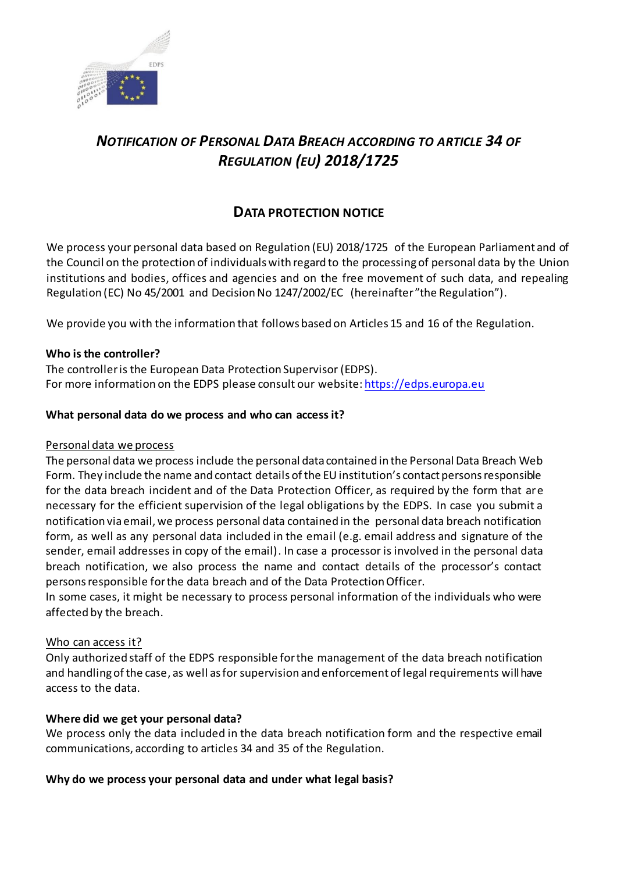

# *NOTIFICATION OF PERSONAL DATA BREACH ACCORDING TO ARTICLE 34 OF REGULATION (EU) 2018/1725*

## **DATA PROTECTION NOTICE**

We process your personal data based on Regulation (EU) 2018/1725 of the European Parliament and of the Council on the protection of individuals with regard to the processing of personal data by the Union institutions and bodies, offices and agencies and on the free movement of such data, and repealing Regulation (EC) No 45/2001 and Decision No 1247/2002/EC (hereinafter "the Regulation").

We provide you with the information that follows based on Articles 15 and 16 of the Regulation.

### **Who is the controller?**

The controller is the European Data Protection Supervisor (EDPS). For more information on the EDPS please consult our website[: https://edps.europa.eu](https://edps.europa.eu/)

### **What personal data do we process and who can access it?**

### Personal data we process

The personal data we process include the personal data contained in the Personal Data Breach Web Form. They include the name and contact details of the EU institution's contact persons responsible for the data breach incident and of the Data Protection Officer, as required by the form that are necessary for the efficient supervision of the legal obligations by the EDPS. In case you submit a notification via email, we process personal data contained in the personal data breach notification form, as well as any personal data included in the email (e.g. email address and signature of the sender, email addresses in copy of the email). In case a processor is involved in the personal data breach notification, we also process the name and contact details of the processor's contact persons responsible for the data breach and of the Data Protection Officer.

In some cases, it might be necessary to process personal information of the individuals who were affected by the breach.

### Who can access it?

Only authorized staff of the EDPS responsible for the management of the data breach notification and handling of the case, as well as for supervision and enforcement of legal requirements will have access to the data.

### **Where did we get your personal data?**

We process only the data included in the data breach notification form and the respective email communications, according to articles 34 and 35 of the Regulation.

### **Why do we process your personal data and under what legal basis?**